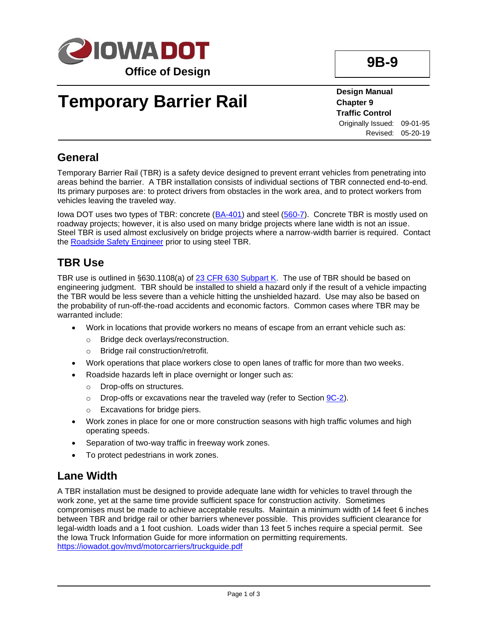

# **Temporary Barrier Rail**

**Design Manual Chapter 9 Traffic Control** Originally Issued: 09-01-95 Revised: 05-20-19

**9B-9**

**General**

Temporary Barrier Rail (TBR) is a safety device designed to prevent errant vehicles from penetrating into areas behind the barrier. A TBR installation consists of individual sections of TBR connected end-to-end. Its primary purposes are: to protect drivers from obstacles in the work area, and to protect workers from vehicles leaving the traveled way.

Iowa DOT uses two types of TBR: concrete [\(BA-401\)](../SRP/IndividualStandards/ba401.pdf) and steel [\(560-7\)](../tnt/PDFsandWebFiles/IndividualPDFs/0560-07.pdf). Concrete TBR is mostly used on roadway projects; however, it is also used on many bridge projects where lane width is not an issue. Steel TBR is used almost exclusively on bridge projects where a narrow-width barrier is required. Contact the [Roadside Safety Engineer](01B-02/RoadsideSafetyEngineer.pdf) prior to using steel TBR.

#### **TBR Use**

TBR use is outlined in §630.1108(a) of [23 CFR 630 Subpart K.](https://www.ecfr.gov/cgi-bin/text-idx?SID=2a5e563ede64087d73c49bb6cdd339a6&mc=true&node=sp23.1.630.k&rgn=div6) The use of TBR should be based on engineering judgment. TBR should be installed to shield a hazard only if the result of a vehicle impacting the TBR would be less severe than a vehicle hitting the unshielded hazard. Use may also be based on the probability of run-off-the-road accidents and economic factors. Common cases where TBR may be warranted include:

- Work in locations that provide workers no means of escape from an errant vehicle such as:
	- o Bridge deck overlays/reconstruction.
	- o Bridge rail construction/retrofit.
- Work operations that place workers close to open lanes of traffic for more than two weeks.
- Roadside hazards left in place overnight or longer such as:
	- o Drop-offs on structures.
	- $\circ$  Drop-offs or excavations near the traveled way (refer to Section  $9C-2$ ).
	- o Excavations for bridge piers.
- Work zones in place for one or more construction seasons with high traffic volumes and high operating speeds.
- Separation of two-way traffic in freeway work zones.
- To protect pedestrians in work zones.

#### **Lane Width**

A TBR installation must be designed to provide adequate lane width for vehicles to travel through the work zone, yet at the same time provide sufficient space for construction activity. Sometimes compromises must be made to achieve acceptable results. Maintain a minimum width of 14 feet 6 inches between TBR and bridge rail or other barriers whenever possible. This provides sufficient clearance for legal-width loads and a 1 foot cushion. Loads wider than 13 feet 5 inches require a special permit. See the Iowa Truck Information Guide for more information on permitting requirements. <https://iowadot.gov/mvd/motorcarriers/truckguide.pdf>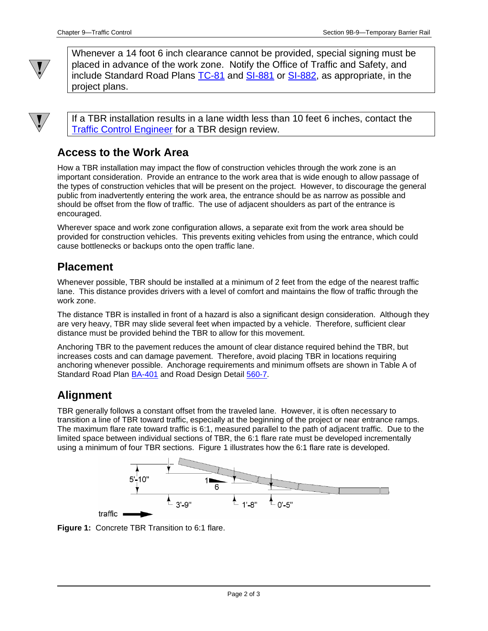

Whenever a 14 foot 6 inch clearance cannot be provided, special signing must be placed in advance of the work zone. Notify the Office of Traffic and Safety, and include Standard Road Plans [TC-81](../SRP/IndividualStandards/tc081.pdf) and [SI-881](../SRP/IndividualStandards/si881.pdf) or [SI-882,](../SRP/IndividualStandards/si882.pdf) as appropriate, in the project plans.

If a TBR installation results in a lane width less than 10 feet 6 inches, contact the [Traffic Control Engineer](01B-02/TrafficControlEngineer.pdf) for a TBR design review.

### **Access to the Work Area**

How a TBR installation may impact the flow of construction vehicles through the work zone is an important consideration. Provide an entrance to the work area that is wide enough to allow passage of the types of construction vehicles that will be present on the project. However, to discourage the general public from inadvertently entering the work area, the entrance should be as narrow as possible and should be offset from the flow of traffic. The use of adjacent shoulders as part of the entrance is encouraged.

Wherever space and work zone configuration allows, a separate exit from the work area should be provided for construction vehicles. This prevents exiting vehicles from using the entrance, which could cause bottlenecks or backups onto the open traffic lane.

### **Placement**

Whenever possible, TBR should be installed at a minimum of 2 feet from the edge of the nearest traffic lane. This distance provides drivers with a level of comfort and maintains the flow of traffic through the work zone.

The distance TBR is installed in front of a hazard is also a significant design consideration. Although they are very heavy, TBR may slide several feet when impacted by a vehicle. Therefore, sufficient clear distance must be provided behind the TBR to allow for this movement.

Anchoring TBR to the pavement reduces the amount of clear distance required behind the TBR, but increases costs and can damage pavement. Therefore, avoid placing TBR in locations requiring anchoring whenever possible. Anchorage requirements and minimum offsets are shown in Table A of Standard Road Plan [BA-401](../SRP/IndividualStandards/ba401.pdf) and Road Design Detail [560-7.](../tnt/PDFsandWebFiles/IndividualPDFs/0560-07.pdf)

## **Alignment**

TBR generally follows a constant offset from the traveled lane. However, it is often necessary to transition a line of TBR toward traffic, especially at the beginning of the project or near entrance ramps. The maximum flare rate toward traffic is 6:1, measured parallel to the path of adjacent traffic. Due to the limited space between individual sections of TBR, the 6:1 flare rate must be developed incrementally using a minimum of four TBR sections. Figure 1 illustrates how the 6:1 flare rate is developed.



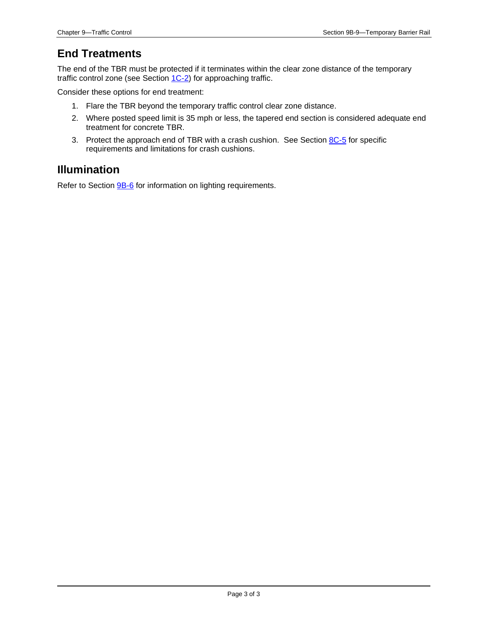## **End Treatments**

The end of the TBR must be protected if it terminates within the clear zone distance of the temporary traffic control zone (see Section [1C-2\)](01c-02.pdf) for approaching traffic.

Consider these options for end treatment:

- 1. Flare the TBR beyond the temporary traffic control clear zone distance.
- 2. Where posted speed limit is 35 mph or less, the tapered end section is considered adequate end treatment for concrete TBR.
- 3. Protect the approach end of TBR with a crash cushion. See Sectio[n 8C-5](08c-05.pdf) for specific requirements and limitations for crash cushions.

#### **Illumination**

Refer to Section **9B-6** for information on lighting requirements.